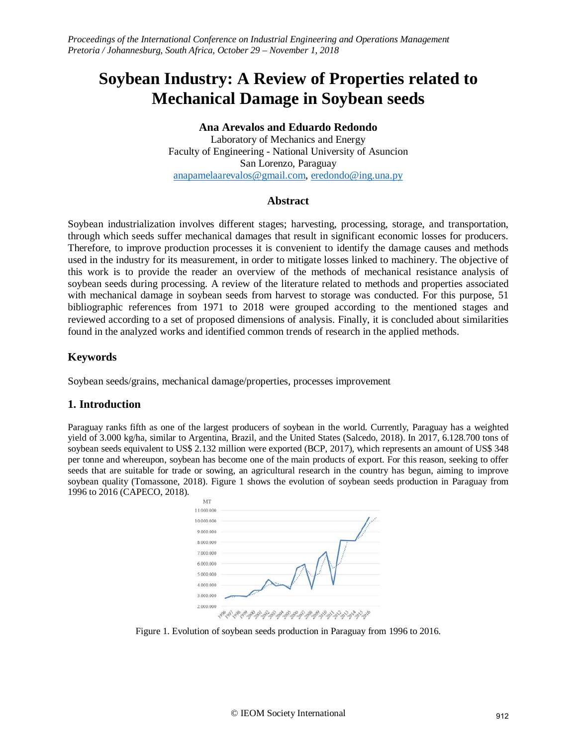# **Soybean Industry: A Review of Properties related to Mechanical Damage in Soybean seeds**

## **Ana Arevalos and Eduardo Redondo**

Laboratory of Mechanics and Energy Faculty of Engineering - National University of Asuncion San Lorenzo, Paraguay [anapamelaarevalos@gmail.com,](mailto:anapamelaarevalos@gmail.com) [eredondo@ing.u](about:blank)na.py

## **Abstract**

Soybean industrialization involves different stages; harvesting, processing, storage, and transportation, through which seeds suffer mechanical damages that result in significant economic losses for producers. Therefore, to improve production processes it is convenient to identify the damage causes and methods used in the industry for its measurement, in order to mitigate losses linked to machinery. The objective of this work is to provide the reader an overview of the methods of mechanical resistance analysis of soybean seeds during processing. A review of the literature related to methods and properties associated with mechanical damage in soybean seeds from harvest to storage was conducted. For this purpose, 51 bibliographic references from 1971 to 2018 were grouped according to the mentioned stages and reviewed according to a set of proposed dimensions of analysis. Finally, it is concluded about similarities found in the analyzed works and identified common trends of research in the applied methods.

# **Keywords**

Soybean seeds/grains, mechanical damage/properties, processes improvement

## **1. Introduction**

Paraguay ranks fifth as one of the largest producers of soybean in the world. Currently, Paraguay has a weighted yield of 3.000 kg/ha, similar to Argentina, Brazil, and the United States (Salcedo, 2018). In 2017, 6.128.700 tons of soybean seeds equivalent to US\$ 2.132 million were exported (BCP, 2017), which represents an amount of US\$ 348 per tonne and whereupon, soybean has become one of the main products of export. For this reason, seeking to offer seeds that are suitable for trade or sowing, an agricultural research in the country has begun, aiming to improve soybean quality (Tomassone, 2018). Figure 1 shows the evolution of soybean seeds production in Paraguay from 1996 to 2016 (CAPECO, 2018).



Figure 1. Evolution of soybean seeds production in Paraguay from 1996 to 2016.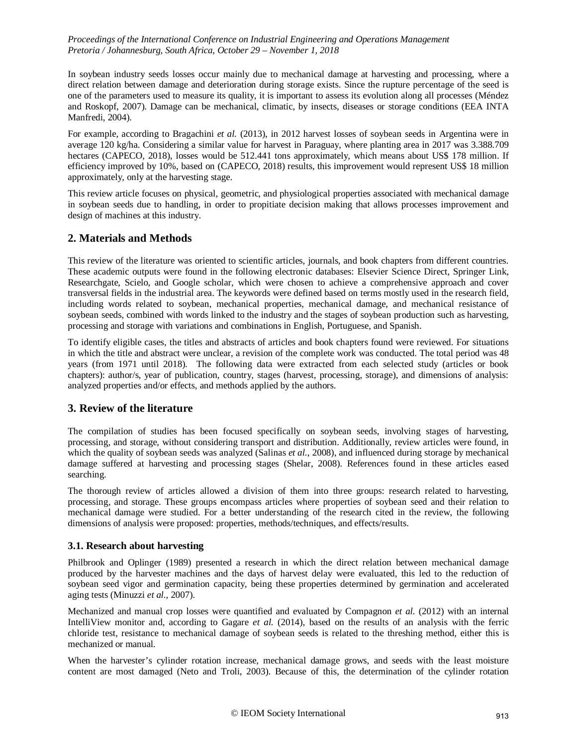In soybean industry seeds losses occur mainly due to mechanical damage at harvesting and processing, where a direct relation between damage and deterioration during storage exists. Since the rupture percentage of the seed is one of the parameters used to measure its quality, it is important to assess its evolution along all processes (Méndez and Roskopf, 2007). Damage can be mechanical, climatic, by insects, diseases or storage conditions (EEA INTA Manfredi, 2004).

For example, according to Bragachini *et al.* (2013), in 2012 harvest losses of soybean seeds in Argentina were in average 120 kg/ha. Considering a similar value for harvest in Paraguay, where planting area in 2017 was 3.388.709 hectares (CAPECO, 2018), losses would be 512.441 tons approximately, which means about US\$ 178 million. If efficiency improved by 10%, based on (CAPECO, 2018) results, this improvement would represent US\$ 18 million approximately, only at the harvesting stage.

This review article focuses on physical, geometric, and physiological properties associated with mechanical damage in soybean seeds due to handling, in order to propitiate decision making that allows processes improvement and design of machines at this industry.

# **2. Materials and Methods**

This review of the literature was oriented to scientific articles, journals, and book chapters from different countries. These academic outputs were found in the following electronic databases: Elsevier Science Direct, Springer Link, Researchgate, Scielo, and Google scholar, which were chosen to achieve a comprehensive approach and cover transversal fields in the industrial area. The keywords were defined based on terms mostly used in the research field, including words related to soybean, mechanical properties, mechanical damage, and mechanical resistance of soybean seeds, combined with words linked to the industry and the stages of soybean production such as harvesting, processing and storage with variations and combinations in English, Portuguese, and Spanish.

To identify eligible cases, the titles and abstracts of articles and book chapters found were reviewed. For situations in which the title and abstract were unclear, a revision of the complete work was conducted. The total period was 48 years (from 1971 until 2018). The following data were extracted from each selected study (articles or book chapters): author/s, year of publication, country, stages (harvest, processing, storage), and dimensions of analysis: analyzed properties and/or effects, and methods applied by the authors.

## **3. Review of the literature**

The compilation of studies has been focused specifically on soybean seeds, involving stages of harvesting, processing, and storage, without considering transport and distribution. Additionally, review articles were found, in which the quality of soybean seeds was analyzed (Salinas *et al.*, 2008), and influenced during storage by mechanical damage suffered at harvesting and processing stages (Shelar, 2008). References found in these articles eased searching.

The thorough review of articles allowed a division of them into three groups: research related to harvesting, processing, and storage. These groups encompass articles where properties of soybean seed and their relation to mechanical damage were studied. For a better understanding of the research cited in the review, the following dimensions of analysis were proposed: properties, methods/techniques, and effects/results.

#### **3.1. Research about harvesting**

Philbrook and Oplinger (1989) presented a research in which the direct relation between mechanical damage produced by the harvester machines and the days of harvest delay were evaluated, this led to the reduction of soybean seed vigor and germination capacity, being these properties determined by germination and accelerated aging tests (Minuzzi *et al.,* 2007).

Mechanized and manual crop losses were quantified and evaluated by Compagnon *et al.* (2012) with an internal IntelliView monitor and, according to Gagare *et al.* (2014), based on the results of an analysis with the ferric chloride test, resistance to mechanical damage of soybean seeds is related to the threshing method, either this is mechanized or manual.

When the harvester's cylinder rotation increase, mechanical damage grows, and seeds with the least moisture content are most damaged (Neto and Troli, 2003). Because of this, the determination of the cylinder rotation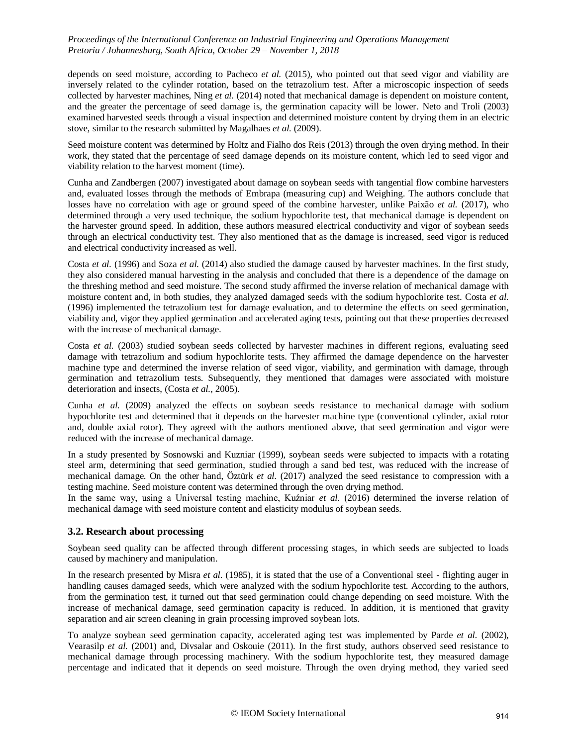depends on seed moisture, according to Pacheco *et al.* (2015), who pointed out that seed vigor and viability are inversely related to the cylinder rotation, based on the tetrazolium test. After a microscopic inspection of seeds collected by harvester machines, Ning *et al.* (2014) noted that mechanical damage is dependent on moisture content, and the greater the percentage of seed damage is, the germination capacity will be lower. Neto and Troli (2003) examined harvested seeds through a visual inspection and determined moisture content by drying them in an electric stove, similar to the research submitted by Magalhaes *et al.* (2009).

Seed moisture content was determined by Holtz and Fialho dos Reis (2013) through the oven drying method. In their work, they stated that the percentage of seed damage depends on its moisture content, which led to seed vigor and viability relation to the harvest moment (time).

Cunha and Zandbergen (2007) investigated about damage on soybean seeds with tangential flow combine harvesters and, evaluated losses through the methods of Embrapa (measuring cup) and Weighing. The authors conclude that losses have no correlation with age or ground speed of the combine harvester, unlike Paixão *et al.* (2017), who determined through a very used technique, the sodium hypochlorite test, that mechanical damage is dependent on the harvester ground speed. In addition, these authors measured electrical conductivity and vigor of soybean seeds through an electrical conductivity test. They also mentioned that as the damage is increased, seed vigor is reduced and electrical conductivity increased as well.

Costa *et al.* (1996) and Soza *et al.* (2014) also studied the damage caused by harvester machines. In the first study, they also considered manual harvesting in the analysis and concluded that there is a dependence of the damage on the threshing method and seed moisture. The second study affirmed the inverse relation of mechanical damage with moisture content and, in both studies, they analyzed damaged seeds with the sodium hypochlorite test. Costa *et al.* (1996) implemented the tetrazolium test for damage evaluation, and to determine the effects on seed germination, viability and, vigor they applied germination and accelerated aging tests, pointing out that these properties decreased with the increase of mechanical damage.

Costa *et al.* (2003) studied soybean seeds collected by harvester machines in different regions, evaluating seed damage with tetrazolium and sodium hypochlorite tests. They affirmed the damage dependence on the harvester machine type and determined the inverse relation of seed vigor, viability, and germination with damage, through germination and tetrazolium tests. Subsequently, they mentioned that damages were associated with moisture deterioration and insects, (Costa *et al.*, 2005).

Cunha *et al.* (2009) analyzed the effects on soybean seeds resistance to mechanical damage with sodium hypochlorite test and determined that it depends on the harvester machine type (conventional cylinder, axial rotor and, double axial rotor). They agreed with the authors mentioned above, that seed germination and vigor were reduced with the increase of mechanical damage.

In a study presented by Sosnowski and Kuzniar (1999), soybean seeds were subjected to impacts with a rotating steel arm, determining that seed germination, studied through a sand bed test, was reduced with the increase of mechanical damage. On the other hand, Öztürk *et al.* (2017) analyzed the seed resistance to compression with a testing machine. Seed moisture content was determined through the oven drying method.

In the same way, using a Universal testing machine, Kuźniar *et al.* (2016) determined the inverse relation of mechanical damage with seed moisture content and elasticity modulus of soybean seeds.

## **3.2. Research about processing**

Soybean seed quality can be affected through different processing stages, in which seeds are subjected to loads caused by machinery and manipulation.

In the research presented by Misra *et al.* (1985), it is stated that the use of a Conventional steel - flighting auger in handling causes damaged seeds, which were analyzed with the sodium hypochlorite test. According to the authors, from the germination test, it turned out that seed germination could change depending on seed moisture. With the increase of mechanical damage, seed germination capacity is reduced. In addition, it is mentioned that gravity separation and air screen cleaning in grain processing improved soybean lots.

To analyze soybean seed germination capacity, accelerated aging test was implemented by Parde *et al.* (2002), Vearasilp *et al.* (2001) and, Divsalar and Oskouie (2011). In the first study, authors observed seed resistance to mechanical damage through processing machinery. With the sodium hypochlorite test, they measured damage percentage and indicated that it depends on seed moisture. Through the oven drying method, they varied seed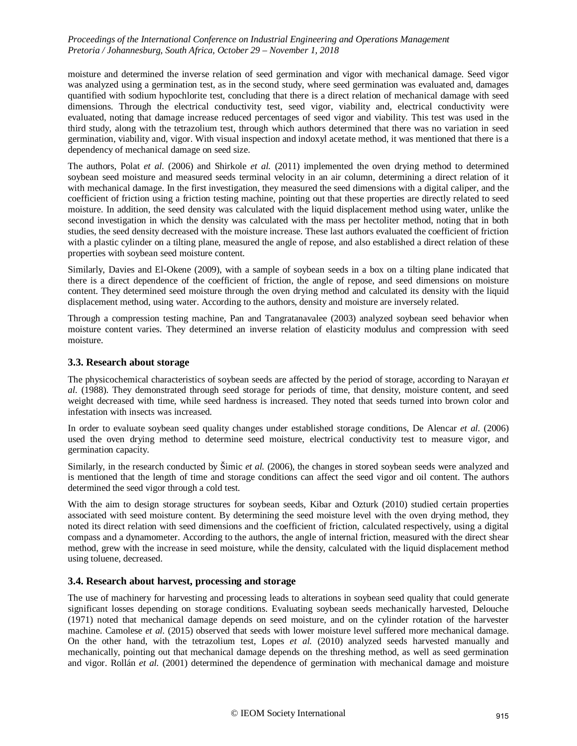moisture and determined the inverse relation of seed germination and vigor with mechanical damage. Seed vigor was analyzed using a germination test, as in the second study, where seed germination was evaluated and, damages quantified with sodium hypochlorite test, concluding that there is a direct relation of mechanical damage with seed dimensions. Through the electrical conductivity test, seed vigor, viability and, electrical conductivity were evaluated, noting that damage increase reduced percentages of seed vigor and viability. This test was used in the third study, along with the tetrazolium test, through which authors determined that there was no variation in seed germination, viability and, vigor. With visual inspection and indoxyl acetate method, it was mentioned that there is a dependency of mechanical damage on seed size.

The authors, Polat *et al.* (2006) and Shirkole *et al.* (2011) implemented the oven drying method to determined soybean seed moisture and measured seeds terminal velocity in an air column, determining a direct relation of it with mechanical damage. In the first investigation, they measured the seed dimensions with a digital caliper, and the coefficient of friction using a friction testing machine, pointing out that these properties are directly related to seed moisture. In addition, the seed density was calculated with the liquid displacement method using water, unlike the second investigation in which the density was calculated with the mass per hectoliter method, noting that in both studies, the seed density decreased with the moisture increase. These last authors evaluated the coefficient of friction with a plastic cylinder on a tilting plane, measured the angle of repose, and also established a direct relation of these properties with soybean seed moisture content.

Similarly, Davies and El-Okene (2009), with a sample of soybean seeds in a box on a tilting plane indicated that there is a direct dependence of the coefficient of friction, the angle of repose, and seed dimensions on moisture content. They determined seed moisture through the oven drying method and calculated its density with the liquid displacement method, using water. According to the authors, density and moisture are inversely related.

Through a compression testing machine, Pan and Tangratanavalee (2003) analyzed soybean seed behavior when moisture content varies. They determined an inverse relation of elasticity modulus and compression with seed moisture.

## **3.3. Research about storage**

The physicochemical characteristics of soybean seeds are affected by the period of storage, according to Narayan *et al.* (1988). They demonstrated through seed storage for periods of time, that density, moisture content, and seed weight decreased with time, while seed hardness is increased. They noted that seeds turned into brown color and infestation with insects was increased.

In order to evaluate soybean seed quality changes under established storage conditions, De Alencar *et al.* (2006) used the oven drying method to determine seed moisture, electrical conductivity test to measure vigor, and germination capacity.

Similarly, in the research conducted by Šimic *et al.* (2006), the changes in stored soybean seeds were analyzed and is mentioned that the length of time and storage conditions can affect the seed vigor and oil content. The authors determined the seed vigor through a cold test.

With the aim to design storage structures for soybean seeds, Kibar and Ozturk (2010) studied certain properties associated with seed moisture content. By determining the seed moisture level with the oven drying method, they noted its direct relation with seed dimensions and the coefficient of friction, calculated respectively, using a digital compass and a dynamometer. According to the authors, the angle of internal friction, measured with the direct shear method, grew with the increase in seed moisture, while the density, calculated with the liquid displacement method using toluene, decreased.

#### **3.4. Research about harvest, processing and storage**

The use of machinery for harvesting and processing leads to alterations in soybean seed quality that could generate significant losses depending on storage conditions. Evaluating soybean seeds mechanically harvested, Delouche (1971) noted that mechanical damage depends on seed moisture, and on the cylinder rotation of the harvester machine. Camolese *et al.* (2015) observed that seeds with lower moisture level suffered more mechanical damage. On the other hand, with the tetrazolium test, Lopes *et al.* (2010) analyzed seeds harvested manually and mechanically, pointing out that mechanical damage depends on the threshing method, as well as seed germination and vigor. Rollán *et al.* (2001) determined the dependence of germination with mechanical damage and moisture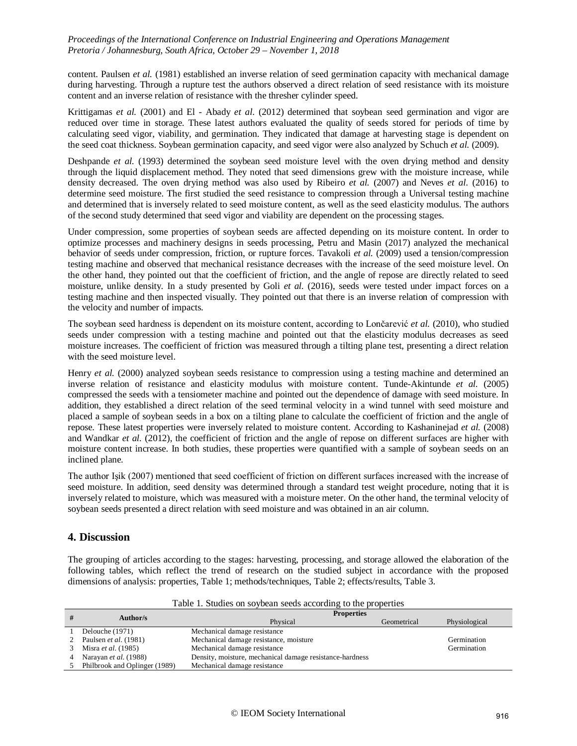content. Paulsen *et al.* (1981) established an inverse relation of seed germination capacity with mechanical damage during harvesting. Through a rupture test the authors observed a direct relation of seed resistance with its moisture content and an inverse relation of resistance with the thresher cylinder speed.

Krittigamas *et al.* (2001) and El - Abady *et al.* (2012) determined that soybean seed germination and vigor are reduced over time in storage. These latest authors evaluated the quality of seeds stored for periods of time by calculating seed vigor, viability, and germination. They indicated that damage at harvesting stage is dependent on the seed coat thickness. Soybean germination capacity, and seed vigor were also analyzed by Schuch *et al.* (2009).

Deshpande *et al.* (1993) determined the soybean seed moisture level with the oven drying method and density through the liquid displacement method. They noted that seed dimensions grew with the moisture increase, while density decreased. The oven drying method was also used by Ribeiro *et al.* (2007) and Neves *et al.* (2016) to determine seed moisture. The first studied the seed resistance to compression through a Universal testing machine and determined that is inversely related to seed moisture content, as well as the seed elasticity modulus. The authors of the second study determined that seed vigor and viability are dependent on the processing stages.

Under compression, some properties of soybean seeds are affected depending on its moisture content. In order to optimize processes and machinery designs in seeds processing, Petru and Masin (2017) analyzed the mechanical behavior of seeds under compression, friction, or rupture forces. Tavakoli *et al.* (2009) used a tension/compression testing machine and observed that mechanical resistance decreases with the increase of the seed moisture level. On the other hand, they pointed out that the coefficient of friction, and the angle of repose are directly related to seed moisture, unlike density. In a study presented by Goli *et al.* (2016), seeds were tested under impact forces on a testing machine and then inspected visually. They pointed out that there is an inverse relation of compression with the velocity and number of impacts.

The soybean seed hardness is dependent on its moisture content, according to Lončarević *et al.* (2010), who studied seeds under compression with a testing machine and pointed out that the elasticity modulus decreases as seed moisture increases. The coefficient of friction was measured through a tilting plane test, presenting a direct relation with the seed moisture level.

Henry *et al.* (2000) analyzed soybean seeds resistance to compression using a testing machine and determined an inverse relation of resistance and elasticity modulus with moisture content. Tunde-Akintunde *et al.* (2005) compressed the seeds with a tensiometer machine and pointed out the dependence of damage with seed moisture. In addition, they established a direct relation of the seed terminal velocity in a wind tunnel with seed moisture and placed a sample of soybean seeds in a box on a tilting plane to calculate the coefficient of friction and the angle of repose. These latest properties were inversely related to moisture content. According to Kashaninejad *et al.* (2008) and Wandkar *et al.* (2012), the coefficient of friction and the angle of repose on different surfaces are higher with moisture content increase. In both studies, these properties were quantified with a sample of soybean seeds on an inclined plane.

The author Işik (2007) mentioned that seed coefficient of friction on different surfaces increased with the increase of seed moisture. In addition, seed density was determined through a standard test weight procedure, noting that it is inversely related to moisture, which was measured with a moisture meter. On the other hand, the terminal velocity of soybean seeds presented a direct relation with seed moisture and was obtained in an air column.

## **4. Discussion**

The grouping of articles according to the stages: harvesting, processing, and storage allowed the elaboration of the following tables, which reflect the trend of research on the studied subject in accordance with the proposed dimensions of analysis: properties, Table 1; methods/techniques, Table 2; effects/results, Table 3.

|   | Author/s                      | <b>Properties</b>                                        |             |               |
|---|-------------------------------|----------------------------------------------------------|-------------|---------------|
|   |                               | Physical                                                 | Geometrical | Physiological |
|   | Delouche (1971)               | Mechanical damage resistance                             |             |               |
|   | Paulsen <i>et al.</i> (1981)  | Mechanical damage resistance, moisture                   |             | Germination   |
| 3 | Misra <i>et al.</i> (1985)    | Mechanical damage resistance                             |             | Germination   |
|   | Narayan <i>et al.</i> (1988)  | Density, moisture, mechanical damage resistance-hardness |             |               |
|   | Philbrook and Oplinger (1989) | Mechanical damage resistance                             |             |               |

Table 1. Studies on soybean seeds according to the properties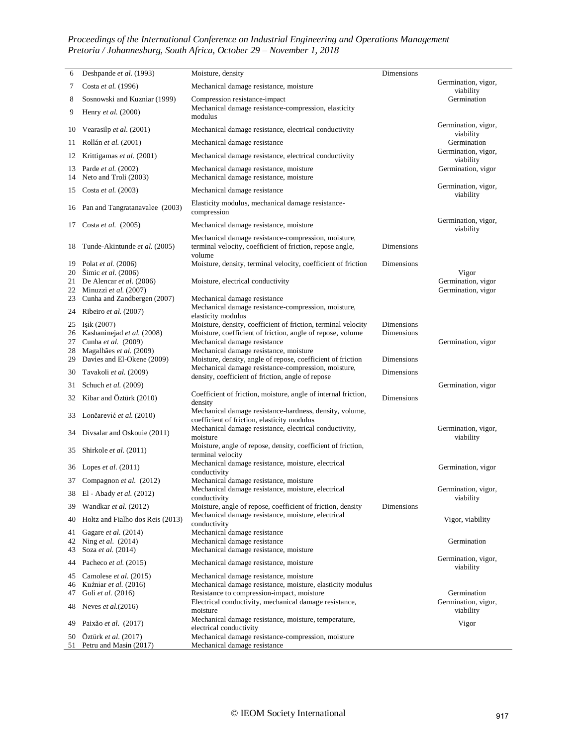| 6        | Deshpande et al. (1993)                                 | Moisture, density                                                                                                          | Dimensions        |                                  |
|----------|---------------------------------------------------------|----------------------------------------------------------------------------------------------------------------------------|-------------------|----------------------------------|
| 7        | Costa et al. (1996)                                     | Mechanical damage resistance, moisture                                                                                     |                   | Germination, vigor,<br>viability |
| 8        | Sosnowski and Kuzniar (1999)                            | Compression resistance-impact                                                                                              |                   | Germination                      |
| 9        | Henry et al. (2000)                                     | Mechanical damage resistance-compression, elasticity<br>modulus                                                            |                   |                                  |
| 10       | Vearasilp et al. (2001)                                 | Mechanical damage resistance, electrical conductivity                                                                      |                   | Germination, vigor,<br>viability |
| 11       | Rollán et al. (2001)                                    | Mechanical damage resistance                                                                                               |                   | Germination                      |
| 12       | Krittigamas et al. (2001)                               | Mechanical damage resistance, electrical conductivity                                                                      |                   | Germination, vigor,<br>viability |
| 13<br>14 | Parde et al. (2002)<br>Neto and Troli (2003)            | Mechanical damage resistance, moisture<br>Mechanical damage resistance, moisture                                           |                   | Germination, vigor               |
| 15       | Costa et al. (2003)                                     | Mechanical damage resistance                                                                                               |                   | Germination, vigor,<br>viability |
|          | 16 Pan and Tangratanavalee (2003)                       | Elasticity modulus, mechanical damage resistance-<br>compression                                                           |                   |                                  |
| 17       | Costa et al. $(2005)$                                   | Mechanical damage resistance, moisture                                                                                     |                   | Germination, vigor,<br>viability |
| 18       | Tunde-Akintunde et al. (2005)                           | Mechanical damage resistance-compression, moisture,<br>terminal velocity, coefficient of friction, repose angle,<br>volume | Dimensions        |                                  |
|          | 19 Polat et al. (2006)                                  | Moisture, density, terminal velocity, coefficient of friction                                                              | Dimensions        |                                  |
|          | 20 Šimic et al. (2006)<br>21 De Alencar et al. $(2006)$ | Moisture, electrical conductivity                                                                                          |                   | Vigor<br>Germination, vigor      |
|          | 22 Minuzzi et al. (2007)                                |                                                                                                                            |                   | Germination, vigor               |
| 23       | Cunha and Zandbergen (2007)                             | Mechanical damage resistance                                                                                               |                   |                                  |
| 24       | Ribeiro et al. (2007)                                   | Mechanical damage resistance-compression, moisture,<br>elasticity modulus                                                  |                   |                                  |
| 25       | Işik (2007)                                             | Moisture, density, coefficient of friction, terminal velocity                                                              | <b>Dimensions</b> |                                  |
| 27       | 26 Kashaninejad et al. (2008)<br>Cunha et al. (2009)    | Moisture, coefficient of friction, angle of repose, volume<br>Mechanical damage resistance                                 | <b>Dimensions</b> | Germination, vigor               |
| 28       | Magalhães et al. (2009)                                 | Mechanical damage resistance, moisture                                                                                     |                   |                                  |
| 29       | Davies and El-Okene (2009)                              | Moisture, density, angle of repose, coefficient of friction                                                                | Dimensions        |                                  |
| 30       | Tavakoli et al. (2009)                                  | Mechanical damage resistance-compression, moisture,<br>density, coefficient of friction, angle of repose                   | Dimensions        |                                  |
| 31       | Schuch et al. (2009)                                    |                                                                                                                            |                   | Germination, vigor               |
| 32       | Kibar and Öztürk (2010)                                 | Coefficient of friction, moisture, angle of internal friction,<br>density                                                  | <b>Dimensions</b> |                                  |
| 33       | Lončarević et al. (2010)                                | Mechanical damage resistance-hardness, density, volume,<br>coefficient of friction, elasticity modulus                     |                   |                                  |
| 34       | Divsalar and Oskouie (2011)                             | Mechanical damage resistance, electrical conductivity,<br>moisture                                                         |                   | Germination, vigor,<br>viability |
| 35       | Shirkole et al. (2011)                                  | Moisture, angle of repose, density, coefficient of friction,<br>terminal velocity                                          |                   |                                  |
| 36       | Lopes <i>et al.</i> $(2011)$                            | Mechanical damage resistance, moisture, electrical<br>conductivity                                                         |                   | Germination, vigor               |
|          | 37 Compagnon et al. (2012)                              | Mechanical damage resistance, moisture                                                                                     |                   |                                  |
|          | 38 El - Abady et al. (2012)                             | Mechanical damage resistance, moisture, electrical<br>conductivity                                                         |                   | Germination, vigor,<br>viability |
| 39       | Wandkar et al. (2012)                                   | Moisture, angle of repose, coefficient of friction, density<br>Mechanical damage resistance, moisture, electrical          | Dimensions        |                                  |
| 40       | Holtz and Fialho dos Reis (2013)                        | conductivity                                                                                                               |                   | Vigor, viability                 |
| 41<br>42 | Gagare et al. (2014)<br>Ning et al. (2014)              | Mechanical damage resistance<br>Mechanical damage resistance                                                               |                   | Germination                      |
| 43       | Soza et al. (2014)                                      | Mechanical damage resistance, moisture                                                                                     |                   |                                  |
| 44       | Pacheco et al. (2015)                                   | Mechanical damage resistance, moisture                                                                                     |                   | Germination, vigor,<br>viability |
| 45       | Camolese et al. (2015)                                  | Mechanical damage resistance, moisture                                                                                     |                   |                                  |
| 46       | Kuźniar et al. (2016)                                   | Mechanical damage resistance, moisture, elasticity modulus                                                                 |                   |                                  |
| 47       | Goli et al. (2016)                                      | Resistance to compression-impact, moisture                                                                                 |                   | Germination                      |
| 48       | Neves et al. $(2016)$                                   | Electrical conductivity, mechanical damage resistance,<br>moisture                                                         |                   | Germination, vigor,<br>viability |
| 49       | Paixão et al. (2017)                                    | Mechanical damage resistance, moisture, temperature,<br>electrical conductivity                                            |                   | Vigor                            |
| 50<br>51 | Öztürk et al. (2017)<br>Petru and Masin (2017)          | Mechanical damage resistance-compression, moisture<br>Mechanical damage resistance                                         |                   |                                  |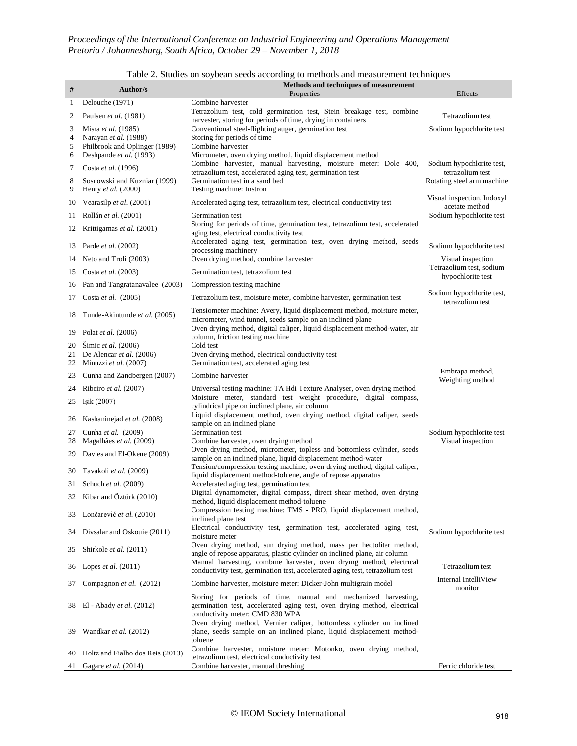| $\#$         | Author/s                                            | raoic 2. Studies on soyocan secus according to incurous and incasurement techniques<br>Methods and techniques of measurement                                                  |                                               |
|--------------|-----------------------------------------------------|-------------------------------------------------------------------------------------------------------------------------------------------------------------------------------|-----------------------------------------------|
|              |                                                     | Properties<br>Combine harvester                                                                                                                                               | Effects                                       |
| $\mathbf{1}$ | Delouche (1971)                                     | Tetrazolium test, cold germination test, Stein breakage test, combine                                                                                                         |                                               |
| 2            | Paulsen et al. (1981)                               | harvester, storing for periods of time, drying in containers                                                                                                                  | Tetrazolium test                              |
| 3<br>4       | Misra et al. (1985)<br>Narayan et al. (1988)        | Conventional steel-flighting auger, germination test<br>Storing for periods of time                                                                                           | Sodium hypochlorite test                      |
| 5            | Philbrook and Oplinger (1989)                       | Combine harvester                                                                                                                                                             |                                               |
| 6            | Deshpande et al. (1993)                             | Micrometer, oven drying method, liquid displacement method                                                                                                                    |                                               |
| 7            | Costa et al. (1996)                                 | Combine harvester, manual harvesting, moisture meter: Dole 400,<br>tetrazolium test, accelerated aging test, germination test                                                 | Sodium hypochlorite test,<br>tetrazolium test |
| 8<br>9       | Sosnowski and Kuzniar (1999)<br>Henry et al. (2000) | Germination test in a sand bed<br>Testing machine: Instron                                                                                                                    | Rotating steel arm machine                    |
| 10           | Vearasilp et al. (2001)                             | Accelerated aging test, tetrazolium test, electrical conductivity test                                                                                                        | Visual inspection, Indoxyl<br>acetate method  |
| 11           | Rollán et al. (2001)                                | Germination test                                                                                                                                                              | Sodium hypochlorite test                      |
| 12           | Krittigamas et al. (2001)                           | Storing for periods of time, germination test, tetrazolium test, accelerated                                                                                                  |                                               |
| 13           | Parde et al. (2002)                                 | aging test, electrical conductivity test<br>Accelerated aging test, germination test, oven drying method, seeds<br>processing machinery                                       | Sodium hypochlorite test                      |
| 14           | Neto and Troli (2003)                               | Oven drying method, combine harvester                                                                                                                                         | Visual inspection                             |
| 15           | Costa et al. (2003)                                 | Germination test, tetrazolium test                                                                                                                                            | Tetrazolium test, sodium                      |
| 16           | Pan and Tangratanavalee (2003)                      | Compression testing machine                                                                                                                                                   | hypochlorite test                             |
| 17           | Costa et al. $(2005)$                               | Tetrazolium test, moisture meter, combine harvester, germination test                                                                                                         | Sodium hypochlorite test,                     |
| 18           | Tunde-Akintunde et al. (2005)                       | Tensiometer machine: Avery, liquid displacement method, moisture meter,                                                                                                       | tetrazolium test                              |
| 19           | Polat et al. (2006)                                 | micrometer, wind tunnel, seeds sample on an inclined plane<br>Oven drying method, digital caliper, liquid displacement method-water, air                                      |                                               |
| 20           | Simic et al. (2006)                                 | column, friction testing machine<br>Cold test                                                                                                                                 |                                               |
| 21<br>22     | De Alencar et al. (2006)<br>Minuzzi et al. (2007)   | Oven drying method, electrical conductivity test<br>Germination test, accelerated aging test                                                                                  |                                               |
| 23           | Cunha and Zandbergen (2007)                         | Combine harvester                                                                                                                                                             | Embrapa method,                               |
| 24           | Ribeiro et al. (2007)                               | Universal testing machine: TA Hdi Texture Analyser, oven drying method                                                                                                        | Weighting method                              |
| 25           | Işik (2007)                                         | Moisture meter, standard test weight procedure, digital compass,                                                                                                              |                                               |
|              |                                                     | cylindrical pipe on inclined plane, air column<br>Liquid displacement method, oven drying method, digital caliper, seeds                                                      |                                               |
| 26           | Kashaninejad et al. (2008)                          | sample on an inclined plane                                                                                                                                                   |                                               |
| 27           | Cunha et al. (2009)                                 | Germination test                                                                                                                                                              | Sodium hypochlorite test                      |
| 28           | Magalhães et al. (2009)                             | Combine harvester, oven drying method<br>Oven drying method, micrometer, topless and bottomless cylinder, seeds                                                               | Visual inspection                             |
| 29           | Davies and El-Okene (2009)                          | sample on an inclined plane, liquid displacement method-water                                                                                                                 |                                               |
| 30           | Tavakoli et al. (2009)                              | Tension/compression testing machine, oven drying method, digital caliper,<br>liquid displacement method-toluene, angle of repose apparatus                                    |                                               |
|              | 31 Schuch et al. (2009)                             | Accelerated aging test, germination test<br>Digital dynamometer, digital compass, direct shear method, oven drying                                                            |                                               |
|              | 32 Kibar and Öztürk (2010)                          | method, liquid displacement method-toluene                                                                                                                                    |                                               |
|              | 33 Lončarević et al. (2010)                         | Compression testing machine: TMS - PRO, liquid displacement method,<br>inclined plane test                                                                                    |                                               |
| 34           | Divsalar and Oskouie (2011)                         | Electrical conductivity test, germination test, accelerated aging test,<br>moisture meter                                                                                     | Sodium hypochlorite test                      |
| 35           | Shirkole et al. (2011)                              | Oven drying method, sun drying method, mass per hectoliter method,<br>angle of repose apparatus, plastic cylinder on inclined plane, air column                               |                                               |
| 36           | Lopes et al. $(2011)$                               | Manual harvesting, combine harvester, oven drying method, electrical<br>conductivity test, germination test, accelerated aging test, tetrazolium test                         | Tetrazolium test                              |
| 37           | Compagnon et al. (2012)                             | Combine harvester, moisture meter: Dicker-John multigrain model                                                                                                               | Internal IntelliView<br>monitor               |
| 38           | El - Abady et al. (2012)                            | Storing for periods of time, manual and mechanized harvesting,<br>germination test, accelerated aging test, oven drying method, electrical<br>conductivity meter: CMD 830 WPA |                                               |
| 39           | Wandkar et al. (2012)                               | Oven drying method, Vernier caliper, bottomless cylinder on inclined<br>plane, seeds sample on an inclined plane, liquid displacement method-<br>toluene                      |                                               |
| 40           | Holtz and Fialho dos Reis (2013)                    | Combine harvester, moisture meter: Motonko, oven drying method,<br>tetrazolium test, electrical conductivity test                                                             |                                               |
| 41           | Gagare et al. (2014)                                | Combine harvester, manual threshing                                                                                                                                           | Ferric chloride test                          |

#### Table 2. Studies on soybean seeds according to methods and measurement techniques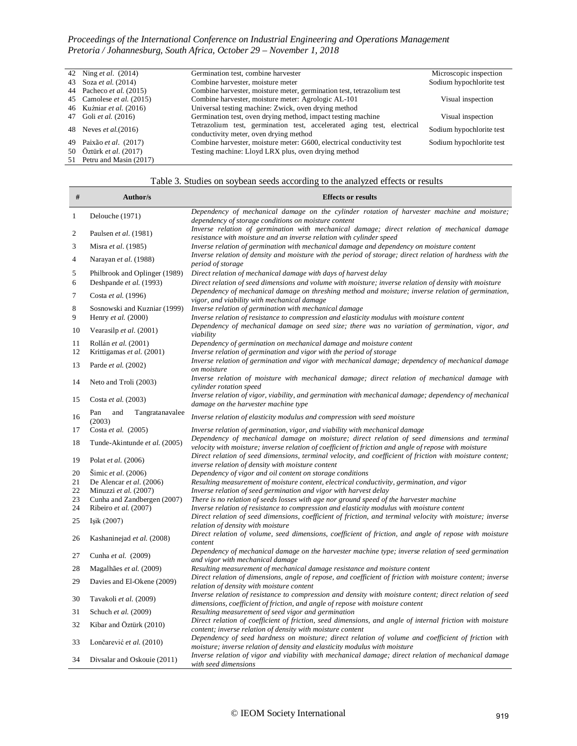<u> Tanzania de la pro</u>

| 42 Ning <i>et al.</i> (2014)    | Germination test, combine harvester                                                                              | Microscopic inspection   |
|---------------------------------|------------------------------------------------------------------------------------------------------------------|--------------------------|
| 43 Soza <i>et al.</i> (2014)    | Combine harvester, moisture meter                                                                                | Sodium hypochlorite test |
| 44 Pacheco <i>et al.</i> (2015) | Combine harvester, moisture meter, germination test, tetrazolium test                                            |                          |
| 45 Camolese et al. (2015)       | Combine harvester, moisture meter: Agrologic AL-101                                                              | Visual inspection        |
| 46 Kuźniar et al. (2016)        | Universal testing machine: Zwick, oven drying method                                                             |                          |
| 47 Goli et al. (2016)           | Germination test, oven drying method, impact testing machine                                                     | Visual inspection        |
| 48 Neves <i>et al.</i> (2016)   | Tetrazolium test, germination test, accelerated aging test, electrical<br>conductivity meter, oven drying method | Sodium hypochlorite test |
| 49 Paixão et al. (2017)         | Combine harvester, moisture meter: G600, electrical conductivity test                                            | Sodium hypochlorite test |
| 50 Öztürk et al. (2017)         | Testing machine: Lloyd LRX plus, oven drying method                                                              |                          |
| 51 Petru and Masin (2017)       |                                                                                                                  |                          |

# Table 3. Studies on soybean seeds according to the analyzed effects or results

| #              | Author/s                                             | <b>Effects or results</b>                                                                                                                                                                             |
|----------------|------------------------------------------------------|-------------------------------------------------------------------------------------------------------------------------------------------------------------------------------------------------------|
|                |                                                      | Dependency of mechanical damage on the cylinder rotation of harvester machine and moisture;                                                                                                           |
| $\mathbf{1}$   | Delouche (1971)                                      | dependency of storage conditions on moisture content                                                                                                                                                  |
| $\sqrt{2}$     | Paulsen et al. (1981)                                | Inverse relation of germination with mechanical damage; direct relation of mechanical damage<br>resistance with moisture and an inverse relation with cylinder speed                                  |
| 3              | Misra et al. (1985)                                  | Inverse relation of germination with mechanical damage and dependency on moisture content                                                                                                             |
| $\overline{4}$ | Narayan et al. (1988)                                | Inverse relation of density and moisture with the period of storage; direct relation of hardness with the<br>period of storage                                                                        |
| 5              | Philbrook and Oplinger (1989)                        | Direct relation of mechanical damage with days of harvest delay                                                                                                                                       |
| 6              | Deshpande et al. (1993)                              | Direct relation of seed dimensions and volume with moisture; inverse relation of density with moisture                                                                                                |
| $\tau$         | Costa et al. (1996)                                  | Dependency of mechanical damage on threshing method and moisture; inverse relation of germination,<br>vigor, and viability with mechanical damage                                                     |
| 8              | Sosnowski and Kuzniar (1999)                         | Inverse relation of germination with mechanical damage                                                                                                                                                |
| 9              | Henry et al. (2000)                                  | Inverse relation of resistance to compression and elasticity modulus with moisture content                                                                                                            |
| 10             | Vearasilp et al. (2001)                              | Dependency of mechanical damage on seed size; there was no variation of germination, vigor, and<br>viability                                                                                          |
| 11             | Rollán et al. (2001)                                 | Dependency of germination on mechanical damage and moisture content                                                                                                                                   |
| 12             | Krittigamas et al. (2001)                            | Inverse relation of germination and vigor with the period of storage                                                                                                                                  |
| 13             | Parde et al. (2002)                                  | Inverse relation of germination and vigor with mechanical damage; dependency of mechanical damage<br>on moisture                                                                                      |
| 14             | Neto and Troli (2003)                                | Inverse relation of moisture with mechanical damage; direct relation of mechanical damage with<br>cylinder rotation speed                                                                             |
| 15             | Costa et al. (2003)                                  | Inverse relation of vigor, viability, and germination with mechanical damage; dependency of mechanical<br>damage on the harvester machine type                                                        |
| 16             | and<br>Pan<br>Tangratanavalee<br>(2003)              | Inverse relation of elasticity modulus and compression with seed moisture                                                                                                                             |
| 17             | Costa et al. (2005)                                  | Inverse relation of germination, vigor, and viability with mechanical damage                                                                                                                          |
| 18             | Tunde-Akintunde et al. (2005)                        | Dependency of mechanical damage on moisture; direct relation of seed dimensions and terminal<br>velocity with moisture; inverse relation of coefficient of friction and angle of repose with moisture |
| 19             | Polat et al. (2006)                                  | Direct relation of seed dimensions, terminal velocity, and coefficient of friction with moisture content;<br>inverse relation of density with moisture content                                        |
| 20             | Simic et al. (2006)                                  | Dependency of vigor and oil content on storage conditions                                                                                                                                             |
| 21             | De Alencar et al. (2006)                             | Resulting measurement of moisture content, electrical conductivity, germination, and vigor                                                                                                            |
| 22             | Minuzzi et al. (2007)                                | Inverse relation of seed germination and vigor with harvest delay                                                                                                                                     |
| 23<br>24       | Cunha and Zandbergen (2007)<br>Ribeiro et al. (2007) | There is no relation of seeds losses with age nor ground speed of the harvester machine<br>Inverse relation of resistance to compression and elasticity modulus with moisture content                 |
| 25             | Isik $(2007)$                                        | Direct relation of seed dimensions, coefficient of friction, and terminal velocity with moisture; inverse<br>relation of density with moisture                                                        |
| 26             | Kashaninejad et al. (2008)                           | Direct relation of volume, seed dimensions, coefficient of friction, and angle of repose with moisture<br>content                                                                                     |
| 27             | Cunha et al. (2009)                                  | Dependency of mechanical damage on the harvester machine type; inverse relation of seed germination<br>and vigor with mechanical damage                                                               |
| 28             | Magalhães et al. (2009)                              | Resulting measurement of mechanical damage resistance and moisture content                                                                                                                            |
| 29             | Davies and El-Okene (2009)                           | Direct relation of dimensions, angle of repose, and coefficient of friction with moisture content; inverse<br>relation of density with moisture content                                               |
| 30             | Tavakoli et al. (2009)                               | Inverse relation of resistance to compression and density with moisture content; direct relation of seed<br>dimensions, coefficient of friction, and angle of repose with moisture content            |
| 31             | Schuch et al. (2009)                                 | Resulting measurement of seed vigor and germination                                                                                                                                                   |
| 32             | Kibar and Öztürk (2010)                              | Direct relation of coefficient of friction, seed dimensions, and angle of internal friction with moisture<br>content; inverse relation of density with moisture content                               |
| 33             | Lončarević et al. (2010)                             | Dependency of seed hardness on moisture; direct relation of volume and coefficient of friction with<br>moisture; inverse relation of density and elasticity modulus with moisture                     |
| 34             | Divsalar and Oskouie (2011)                          | Inverse relation of vigor and viability with mechanical damage; direct relation of mechanical damage<br>with seed dimensions                                                                          |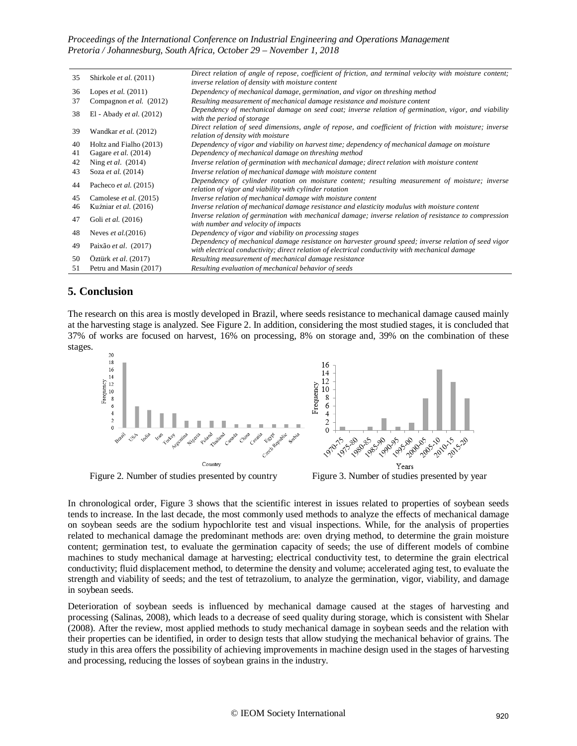| 35 | Shirkole et al. (2011)       | Direct relation of angle of repose, coefficient of friction, and terminal velocity with moisture content;                                                                                               |
|----|------------------------------|---------------------------------------------------------------------------------------------------------------------------------------------------------------------------------------------------------|
| 36 |                              | inverse relation of density with moisture content                                                                                                                                                       |
|    | Lopes <i>et al.</i> $(2011)$ | Dependency of mechanical damage, germination, and vigor on threshing method                                                                                                                             |
| 37 | Compagnon et al. (2012)      | Resulting measurement of mechanical damage resistance and moisture content                                                                                                                              |
| 38 | El - Abady et al. (2012)     | Dependency of mechanical damage on seed coat; inverse relation of germination, vigor, and viability<br>with the period of storage                                                                       |
| 39 | Wandkar et al. (2012)        | Direct relation of seed dimensions, angle of repose, and coefficient of friction with moisture; inverse<br>relation of density with moisture                                                            |
| 40 | Holtz and Fialho (2013)      | Dependency of vigor and viability on harvest time; dependency of mechanical damage on moisture                                                                                                          |
| 41 | Gagare et al. (2014)         | Dependency of mechanical damage on threshing method                                                                                                                                                     |
| 42 | Ning et al. (2014)           | Inverse relation of germination with mechanical damage; direct relation with moisture content                                                                                                           |
| 43 | Soza et al. (2014)           | Inverse relation of mechanical damage with moisture content                                                                                                                                             |
| 44 | Pacheco et al. (2015)        | Dependency of cylinder rotation on moisture content; resulting measurement of moisture; inverse<br>relation of vigor and viability with cylinder rotation                                               |
| 45 | Camolese et al. (2015)       | Inverse relation of mechanical damage with moisture content                                                                                                                                             |
| 46 | Kuźniar et al. (2016)        | Inverse relation of mechanical damage resistance and elasticity modulus with moisture content                                                                                                           |
| 47 | Goli et al. (2016)           | Inverse relation of germination with mechanical damage; inverse relation of resistance to compression<br>with number and velocity of impacts                                                            |
| 48 | Neves et al. $(2016)$        | Dependency of vigor and viability on processing stages                                                                                                                                                  |
| 49 | Paixão et al. (2017)         | Dependency of mechanical damage resistance on harvester ground speed; inverse relation of seed vigor<br>with electrical conductivity; direct relation of electrical conductivity with mechanical damage |
| 50 | Öztürk et al. (2017)         | Resulting measurement of mechanical damage resistance                                                                                                                                                   |
| 51 | Petru and Masin (2017)       | Resulting evaluation of mechanical behavior of seeds                                                                                                                                                    |

## **5. Conclusion**

The research on this area is mostly developed in Brazil, where seeds resistance to mechanical damage caused mainly at the harvesting stage is analyzed. See Figure 2. In addition, considering the most studied stages, it is concluded that 37% of works are focused on harvest, 16% on processing, 8% on storage and, 39% on the combination of these stages.





In chronological order, Figure 3 shows that the scientific interest in issues related to properties of soybean seeds tends to increase. In the last decade, the most commonly used methods to analyze the effects of mechanical damage on soybean seeds are the sodium hypochlorite test and visual inspections. While, for the analysis of properties related to mechanical damage the predominant methods are: oven drying method, to determine the grain moisture content; germination test, to evaluate the germination capacity of seeds; the use of different models of combine machines to study mechanical damage at harvesting; electrical conductivity test, to determine the grain electrical conductivity; fluid displacement method, to determine the density and volume; accelerated aging test, to evaluate the strength and viability of seeds; and the test of tetrazolium, to analyze the germination, vigor, viability, and damage in soybean seeds.

Deterioration of soybean seeds is influenced by mechanical damage caused at the stages of harvesting and processing (Salinas, 2008), which leads to a decrease of seed quality during storage, which is consistent with Shelar (2008). After the review, most applied methods to study mechanical damage in soybean seeds and the relation with their properties can be identified, in order to design tests that allow studying the mechanical behavior of grains. The study in this area offers the possibility of achieving improvements in machine design used in the stages of harvesting and processing, reducing the losses of soybean grains in the industry.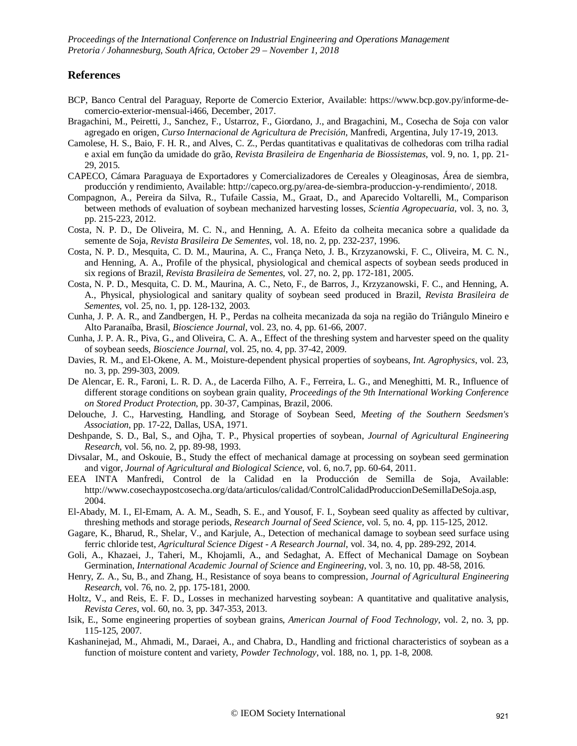## **References**

- BCP, Banco Central del Paraguay, Reporte de Comercio Exterior, Available: https://www.bcp.gov.py/informe-decomercio-exterior-mensual-i466, December, 2017.
- Bragachini, M., Peiretti, J., Sanchez, F., Ustarroz, F., Giordano, J., and Bragachini, M., Cosecha de Soja con valor agregado en origen, *Curso Internacional de Agricultura de Precisión*, Manfredi, Argentina, July 17-19, 2013.
- Camolese, H. S., Baio, F. H. R., and Alves, C. Z., Perdas quantitativas e qualitativas de colhedoras com trilha radial e axial em função da umidade do grão, *Revista Brasileira de Engenharia de Biossistemas*, vol. 9, no. 1, pp. 21- 29, 2015.
- CAPECO, Cámara Paraguaya de Exportadores y Comercializadores de Cereales y Oleaginosas, Área de siembra, producción y rendimiento, Available: [http://capeco.org.py/area-de-siembra-produccion-y-rendimiento/,](http://capeco.org.py/area-de-siembra-produccion-y-rendimiento/) 2018.
- Compagnon, A., Pereira da Silva, R., Tufaile Cassia, M., Graat, D., and Aparecido Voltarelli, M., Comparison between methods of evaluation of soybean mechanized harvesting losses, *Scientia Agropecuaria*, vol. 3, no. 3, pp. 215-223, 2012.
- Costa, N. P. D., De Oliveira, M. C. N., and Henning, A. A. Efeito da colheita mecanica sobre a qualidade da semente de Soja, *Revista Brasileira De Sementes*, vol. 18, no. 2, pp. 232-237, 1996.
- Costa, N. P. D., Mesquita, C. D. M., Maurina, A. C., França Neto, J. B., Krzyzanowski, F. C., Oliveira, M. C. N., and Henning, A. A., Profile of the physical, physiological and chemical aspects of soybean seeds produced in six regions of Brazil, *Revista Brasileira de Sementes*, vol. 27, no. 2, pp. 172-181, 2005.
- Costa, N. P. D., Mesquita, C. D. M., Maurina, A. C., Neto, F., de Barros, J., Krzyzanowski, F. C., and Henning, A. A., Physical, physiological and sanitary quality of soybean seed produced in Brazil, *Revista Brasileira de Sementes*, vol. 25, no. 1, pp. 128-132, 2003.
- Cunha, J. P. A. R., and Zandbergen, H. P., Perdas na colheita mecanizada da soja na região do Triângulo Mineiro e Alto Paranaíba, Brasil, *Bioscience Journal*, vol. 23, no. 4, pp. 61-66, 2007.
- Cunha, J. P. A. R., Piva, G., and Oliveira, C. A. A., Effect of the threshing system and harvester speed on the quality of soybean seeds, *Bioscience Journal*, vol. 25, no. 4, pp. 37-42, 2009.
- Davies, R. M., and El-Okene, A. M., Moisture-dependent physical properties of soybeans, *Int. Agrophysics*, vol. 23, no. 3, pp. 299-303, 2009.
- De Alencar, E. R., Faroni, L. R. D. A., de Lacerda Filho, A. F., Ferreira, L. G., and Meneghitti, M. R., Influence of different storage conditions on soybean grain quality, *Proceedings of the 9th International Working Conference on Stored Product Protection*, pp. 30-37, Campinas, Brazil, 2006.
- Delouche, J. C., Harvesting, Handling, and Storage of Soybean Seed, *Meeting of the Southern Seedsmen's Association*, pp. 17-22, Dallas, USA, 1971.
- Deshpande, S. D., Bal, S., and Ojha, T. P., Physical properties of soybean, *Journal of Agricultural Engineering Research*, vol. 56, no. 2, pp. 89-98, 1993.
- Divsalar, M., and Oskouie, B., Study the effect of mechanical damage at processing on soybean seed germination and vigor, *Journal of Agricultural and Biological Science*, vol. 6, no.7, pp. 60-64, 2011.
- EEA INTA Manfredi, Control de la Calidad en la Producción de Semilla de Soja, Available[:](http://www.cosechaypostcosecha.org/data/articulos/calidad/ControlCalidadProduccionDeSemillaDeSoja.asp) [http://www.cosechaypostcosecha.org/data/articulos/calidad/ControlCalidadProduccionDeSemillaDeSoja.asp,](http://www.cosechaypostcosecha.org/data/articulos/calidad/ControlCalidadProduccionDeSemillaDeSoja.asp) 2004.
- El-Abady, M. I., El-Emam, A. A. M., Seadh, S. E., and Yousof, F. I., Soybean seed quality as affected by cultivar, threshing methods and storage periods, *Research Journal of Seed Science*, vol. 5, no. 4, pp. 115-125, 2012.
- Gagare, K., Bharud, R., Shelar, V., and Karjule, A., Detection of mechanical damage to soybean seed surface using ferric chloride test, *Agricultural Science Digest - A Research Journal*, vol. 34, no. 4, pp. 289-292, 2014.
- Goli, A., Khazaei, J., Taheri, M., Khojamli, A., and Sedaghat, A. Effect of Mechanical Damage on Soybean Germination, *International Academic Journal of Science and Engineering*, vol. 3, no. 10, pp. 48-58, 2016.
- Henry, Z. A., Su, B., and Zhang, H., Resistance of soya beans to compression, *Journal of Agricultural Engineering Research*, vol. 76, no. 2, pp. 175-181, 2000.
- Holtz, V., and Reis, E. F. D., Losses in mechanized harvesting soybean: A quantitative and qualitative analysis, *Revista Ceres*, vol. 60, no. 3, pp. 347-353, 2013.
- Isik, E., Some engineering properties of soybean grains, *American Journal of Food Technology*, vol. 2, no. 3, pp. 115-125, 2007.
- Kashaninejad, M., Ahmadi, M., Daraei, A., and Chabra, D., Handling and frictional characteristics of soybean as a function of moisture content and variety, *Powder Technology*, vol. 188, no. 1, pp. 1-8, 2008.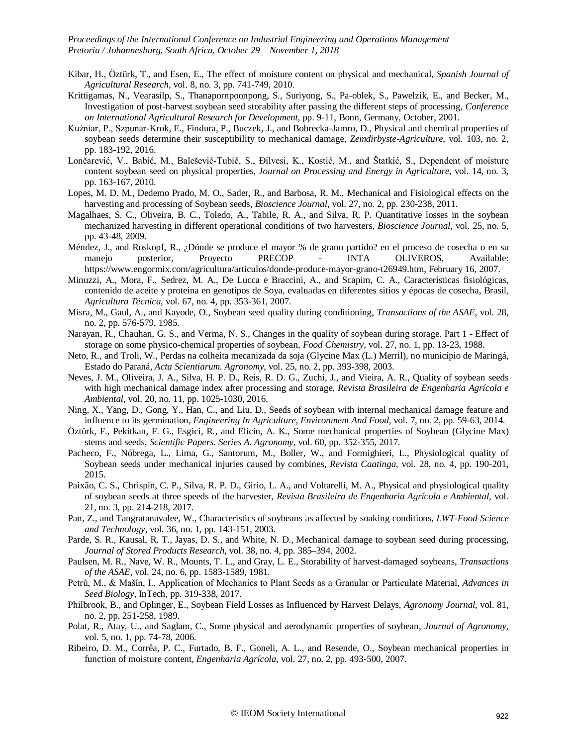- Kibar, H., Öztürk, T., and Esen, E., The effect of moisture content on physical and mechanical, *Spanish Journal of Agricultural Research*, vol. 8, no. 3, pp. 741-749, 2010.
- Krittigamas, N., Vearasilp, S., Thanapornpoonpong, S., Suriyong, S., Pa-oblek, S., Pawelzik, E., and Becker, M., Investigation of post-harvest soybean seed storability after passing the different steps of processing, *Conference on International Agricultural Research for Development*, pp. 9-11, Bonn, Germany, October, 2001.
- Kuźniar, P., Szpunar-Krok, E., Findura, P., Buczek, J., and Bobrecka-Jamro, D., Physical and chemical properties of soybean seeds determine their susceptibility to mechanical damage, *Zemdirbyste-Agriculture*, vol. 103, no. 2, pp. 183-192, 2016.
- Lončarević, V., Babić, M., Balešević-Tubić, S., Đilvesi, K., Kostić, M., and Štatkić, S., Dependent of moisture content soybean seed on physical properties, *Journal on Processing and Energy in Agriculture*, vol. 14, no. 3, pp. 163-167, 2010.
- Lopes, M. D. M., Dedemo Prado, M. O., Sader, R., and Barbosa, R. M., Mechanical and Fisiological effects on the harvesting and processing of Soybean seeds, *Bioscience Journal*, vol. 27, no. 2, pp. 230-238, 2011.
- Magalhaes, S. C., Oliveira, B. C., Toledo, A., Tabile, R. A., and Silva, R. P. Quantitative losses in the soybean mechanized harvesting in different operational conditions of two harvesters, *Bioscience Journal*, vol. 25, no. 5, pp. 43-48, 2009.
- Méndez, J., and Roskopf, R., ¿Dónde se produce el mayor % de grano partido? en el proceso de cosecha o en su manejo posterior, Proyecto PRECOP - INTA OLIVEROS, Available[:](https://www.engormix.com/agricultura/articulos/donde-produce-mayor-grano-t26949.htm) [https://www.engormix.com/agricultura/articulos/donde-produce-mayor-grano-t26949.htm,](https://www.engormix.com/agricultura/articulos/donde-produce-mayor-grano-t26949.htm) February 16, 2007.
- Minuzzi, A., Mora, F., Sedrez, M. A., De Lucca e Braccini, A., and Scapim, C. A., Características fisiológicas, contenido de aceite y proteína en genotipos de Soya, evaluadas en diferentes sitios y épocas de cosecha, Brasil, *Agricultura Técnica*, vol. 67, no. 4, pp. 353-361, 2007.
- Misra, M., Gaul, A., and Kayode, O., Soybean seed quality during conditioning, *Transactions of the ASAE*, vol. 28, no. 2, pp. 576-579, 1985.
- Narayan, R., Chauhan, G. S., and Verma, N. S., Changes in the quality of soybean during storage. Part 1 Effect of storage on some physico-chemical properties of soybean, *Food Chemistry*, vol. 27, no. 1, pp. 13-23, 1988.
- Neto, R., and Troli, W., Perdas na colheita mecanizada da soja (Glycine Max (L.) Merril), no município de Maringá, Estado do Paraná, *Acta Scientiarum. Agronomy*, vol. 25, no. 2, pp. 393-398, 2003.
- Neves, J. M., Oliveira, J. A., Silva, H. P. D., Reis, R. D. G., Zuchi, J., and Vieira, A. R., Quality of soybean seeds with high mechanical damage index after processing and storage, *Revista Brasileira de Engenharia Agrícola e Ambiental*, vol. 20, no. 11, pp. 1025-1030, 2016.
- Ning, X., Yang, D., Gong, Y., Han, C., and Liu, D., Seeds of soybean with internal mechanical damage feature and influence to its germination, *Engineering In Agriculture, Environment And Food*, vol. 7, no. 2, pp. 59-63, 2014.
- Öztürk, F., Pekı̇tkan, F. G., Esgı̇cı̇, R., and Elicin, A. K., Some mechanical properties of Soybean (Glycine Max) stems and seeds, *Scientific Papers. Series A. Agronomy*, vol. 60, pp. 352-355, 2017.
- Pacheco, F., Nóbrega, L., Lima, G., Santorum, M., Boller, W., and Formighieri, L., Physiological quality of Soybean seeds under mechanical injuries caused by combines, *Revista Caatinga*, vol. 28, no. 4, pp. 190-201, 2015.
- Paixão, C. S., Chrispin, C. P., Silva, R. P. D., Girio, L. A., and Voltarelli, M. A., Physical and physiological quality of soybean seeds at three speeds of the harvester, *Revista Brasileira de Engenharia Agrícola e Ambiental*, vol. 21, no. 3, pp. 214-218, 2017.
- Pan, Z., and Tangratanavalee, W., Characteristics of soybeans as affected by soaking conditions, *LWT-Food Science and Technology*, vol. 36, no. 1, pp. 143-151, 2003.
- Parde, S. R., Kausal, R. T., Jayas, D. S., and White, N. D., Mechanical damage to soybean seed during processing, *Journal of Stored Products Research*, vol. 38, no. 4, pp. 385–394, 2002.
- Paulsen, M. R., Nave, W. R., Mounts, T. L., and Gray, L. E., Storability of harvest-damaged soybeans, *Transactions of the ASAE*, vol. 24, no. 6, pp. 1583-1589, 1981.
- Petrů, M., & Mašín, I., Application of Mechanics to Plant Seeds as a Granular or Particulate Material, *Advances in Seed Biology*, InTech, pp. 319-338, 2017.
- Philbrook, B., and Oplinger, E., Soybean Field Losses as Influenced by Harvest Delays, *Agronomy Journal*, vol. 81, no. 2, pp. 251-258, 1989.
- Polat, R., Atay, U., and Saglam, C., Some physical and aerodynamic properties of soybean, *Journal of Agronomy*, vol. 5, no. 1, pp. 74-78, 2006.
- Ribeiro, D. M., Corrêa, P. C., Furtado, B. F., Goneli, A. L., and Resende, O., Soybean mechanical properties in function of moisture content, *Engenharia Agrícola*, vol. 27, no. 2, pp. 493-500, 2007.